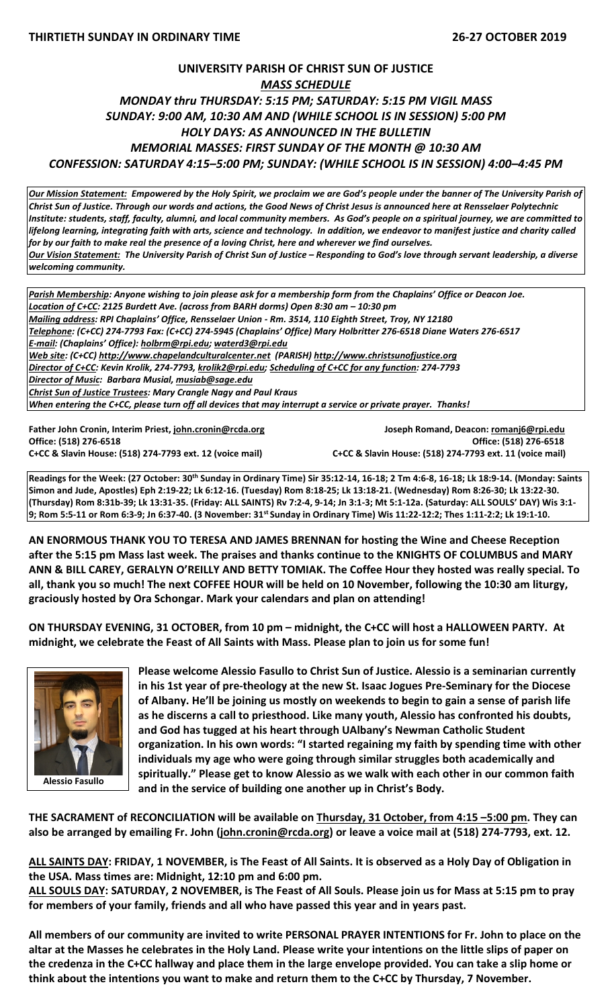## **UNIVERSITY PARISH OF CHRIST SUN OF JUSTICE** *MASS SCHEDULE MONDAY thru THURSDAY: 5:15 PM; SATURDAY: 5:15 PM VIGIL MASS SUNDAY: 9:00 AM, 10:30 AM AND (WHILE SCHOOL IS IN SESSION) 5:00 PM HOLY DAYS: AS ANNOUNCED IN THE BULLETIN MEMORIAL MASSES: FIRST SUNDAY OF THE MONTH @ 10:30 AM CONFESSION: SATURDAY 4:15–5:00 PM; SUNDAY: (WHILE SCHOOL IS IN SESSION) 4:00–4:45 PM*

*Our Mission Statement:**Empowered by the Holy Spirit, we proclaim we are God's people under the banner of The University Parish of Christ Sun of Justice. Through our words and actions, the Good News of Christ Jesus is announced here at Rensselaer Polytechnic Institute: students, staff, faculty, alumni, and local community members. As God's people on a spiritual journey, we are committed to lifelong learning, integrating faith with arts, science and technology. In addition, we endeavor to manifest justice and charity called for by our faith to make real the presence of a loving Christ, here and wherever we find ourselves. Our Vision Statement: The University Parish of Christ Sun of Justice – Responding to God's love through servant leadership, a diverse welcoming community.*

*Parish Membership: Anyone wishing to join please ask for a membership form from the Chaplains' Office or Deacon Joe. Location of C+CC: 2125 Burdett Ave. (across from BARH dorms) Open 8:30 am – 10:30 pm Mailing address: RPI Chaplains' Office, Rensselaer Union - Rm. 3514, 110 Eighth Street, Troy, NY 12180 Telephone: (C+CC) 274-7793 Fax: (C+CC) 274-5945 (Chaplains' Office) Mary Holbritter 276-6518 Diane Waters 276-6517 E-mail: (Chaplains' Office): [holbrm@rpi.edu;](mailto:holbrm@rpi.edu) waterd3@rpi.edu Web site: (C+CC) [http://www.chapelandculturalcenter.net](http://www.chapelandculturalcenter.net/) (PARISH) http://www.christsunofjustice.org Director of C+CC: Kevin Krolik, 274-7793, krolik2@rpi.edu; Scheduling of C+CC for any function: 274-7793 Director of Music: Barbara Musial, [musiab@sage.edu](mailto:musiab@sage.edu) Christ Sun of Justice Trustees: Mary Crangle Nagy and Paul Kraus When entering the C+CC, please turn off all devices that may interrupt a service or private prayer. Thanks!* 

**Office: (518) 276-6518 Office: (518) 276-6518 C+CC & Slavin House: (518) 274-7793 ext. 12 (voice mail) C+CC & Slavin House: (518) 274-7793 ext. 11 (voice mail)**

**Father John Cronin, Interim Priest[, john.cronin@rcda.org](mailto:john.cronin@rcda.org) Joseph Romand, Deacon[: romanj6@rpi.edu](mailto:romanj6@rpi.edu)**

**Readings for the Week: (27 October: 30th Sunday in Ordinary Time) Sir 35:12-14, 16-18; 2 Tm 4:6-8, 16-18; Lk 18:9-14. (Monday: Saints Simon and Jude, Apostles) Eph 2:19-22; Lk 6:12-16. (Tuesday) Rom 8:18-25; Lk 13:18-21. (Wednesday) Rom 8:26-30; Lk 13:22-30. (Thursday) Rom 8:31b-39; Lk 13:31-35. (Friday: ALL SAINTS) Rv 7:2-4, 9-14; Jn 3:1-3; Mt 5:1-12a. (Saturday: ALL SOULS' DAY) Wis 3:1- 9; Rom 5:5-11 or Rom 6:3-9; Jn 6:37-40. (3 November: 31st Sunday in Ordinary Time) Wis 11:22-12:2; Thes 1:11-2:2; Lk 19:1-10.** 

**AN ENORMOUS THANK YOU TO TERESA AND JAMES BRENNAN for hosting the Wine and Cheese Reception after the 5:15 pm Mass last week. The praises and thanks continue to the KNIGHTS OF COLUMBUS and MARY ANN & BILL CAREY, GERALYN O'REILLY AND BETTY TOMIAK. The Coffee Hour they hosted was really special. To all, thank you so much! The next COFFEE HOUR will be held on 10 November, following the 10:30 am liturgy, graciously hosted by Ora Schongar. Mark your calendars and plan on attending!**

**ON THURSDAY EVENING, 31 OCTOBER, from 10 pm – midnight, the C+CC will host a HALLOWEEN PARTY. At midnight, we celebrate the Feast of All Saints with Mass. Please plan to join us for some fun!**



**Alessio Fasullo**

**Please welcome Alessio Fasullo to Christ Sun of Justice. Alessio is a seminarian currently in his 1st year of pre-theology at the new St. Isaac Jogues Pre-Seminary for the Diocese of Albany. He'll be joining us mostly on weekends to begin to gain a sense of parish life as he discerns a call to priesthood. Like many youth, Alessio has confronted his doubts, and God has tugged at his heart through UAlbany's Newman Catholic Student organization. In his own words: "I started regaining my faith by spending time with other individuals my age who were going through similar struggles both academically and spiritually." Please get to know Alessio as we walk with each other in our common faith and in the service of building one another up in Christ's Body.**

**THE SACRAMENT of RECONCILIATION will be available on Thursday, 31 October, from 4:15 –5:00 pm. They can also be arranged by emailing Fr. John [\(john.cronin@rcda.org\)](mailto:john.cronin@rcda.org) or leave a voice mail at (518) 274-7793, ext. 12.**

**ALL SAINTS DAY: FRIDAY, 1 NOVEMBER, is The Feast of All Saints. It is observed as a Holy Day of Obligation in the USA. Mass times are: Midnight, 12:10 pm and 6:00 pm.** 

**ALL SOULS DAY: SATURDAY, 2 NOVEMBER, is The Feast of All Souls. Please join us for Mass at 5:15 pm to pray for members of your family, friends and all who have passed this year and in years past.** 

**All members of our community are invited to write PERSONAL PRAYER INTENTIONS for Fr. John to place on the altar at the Masses he celebrates in the Holy Land. Please write your intentions on the little slips of paper on the credenza in the C+CC hallway and place them in the large envelope provided. You can take a slip home or think about the intentions you want to make and return them to the C+CC by Thursday, 7 November.**